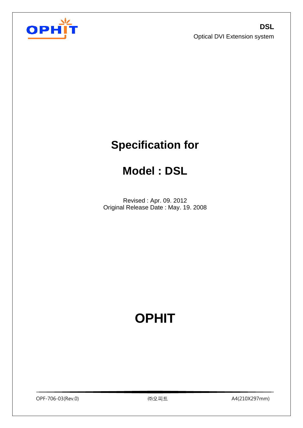

# **Specification for**

# **Model : DSL**

Revised : Apr. 09. 2012 Original Release Date : May. 19. 2008

# **OPHIT**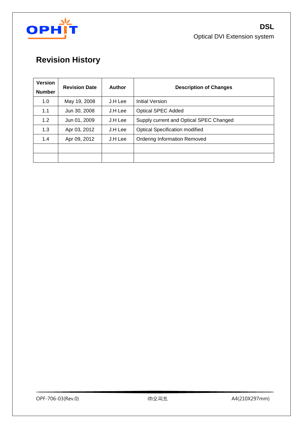

# **Revision History**

| <b>Version</b><br><b>Number</b> | <b>Revision Date</b> | <b>Author</b> | <b>Description of Changes</b>           |
|---------------------------------|----------------------|---------------|-----------------------------------------|
| 1.0                             | May 19, 2008         | J.H Lee       | Initial Version                         |
| 1.1                             | Jun 30, 2008         | J.H Lee       | <b>Optical SPEC Added</b>               |
| 1.2                             | Jun 01, 2009         | J.H Lee       | Supply current and Optical SPEC Changed |
| 1.3                             | Apr 03, 2012         | J.H Lee       | <b>Optical Specification modified</b>   |
| 1.4                             | Apr 09, 2012         | J.H Lee       | <b>Ordering Information Removed</b>     |
|                                 |                      |               |                                         |
|                                 |                      |               |                                         |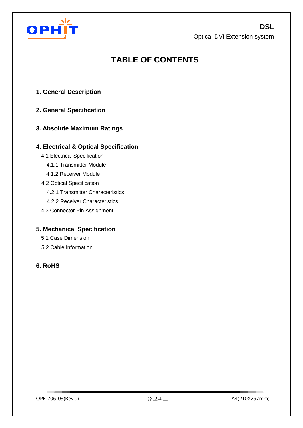

# **TABLE OF CONTENTS**

- **1. General Description**
- **2. General Specification**

## **3. Absolute Maximum Ratings**

#### **4. Electrical & Optical Specification**

- 4.1 Electrical Specification
	- 4.1.1 Transmitter Module
	- 4.1.2 Receiver Module
- 4.2 Optical Specification
	- 4.2.1 Transmitter Characteristics
	- 4.2.2 Receiver Characteristics
- 4.3 Connector Pin Assignment

#### **5. Mechanical Specification**

- 5.1 Case Dimension
- 5.2 Cable Information

### **6. RoHS**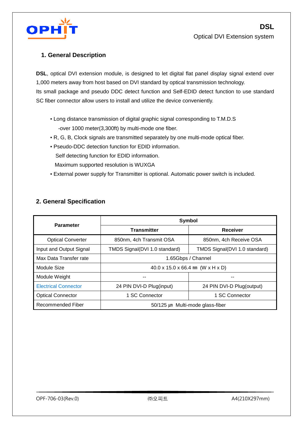

## **1. General Description**

**DSL**, optical DVI extension module, is designed to let digital flat panel display signal extend over 1,000 meters away from host based on DVI standard by optical transmission technology. Its small package and pseudo DDC detect function and Self-EDID detect function to use standard SC fiber connector allow users to install and utilize the device conveniently.

- Long distance transmission of digital graphic signal corresponding to T.M.D.S -over 1000 meter(3,300ft) by multi-mode one fiber.
- R, G, B, Clock signals are transmitted separately by one multi-mode optical fiber.
- Pseudo-DDC detection function for EDID information. Self detecting function for EDID information. Maximum supported resolution is WUXGA
- External power supply for Transmitter is optional. Automatic power switch is included.

### **2. General Specification**

| <b>Parameter</b>            | <b>Symbol</b>                                               |                               |  |  |  |  |
|-----------------------------|-------------------------------------------------------------|-------------------------------|--|--|--|--|
|                             | <b>Transmitter</b>                                          | <b>Receiver</b>               |  |  |  |  |
| <b>Optical Converter</b>    | 850nm, 4ch Transmit OSA                                     | 850nm, 4ch Receive OSA        |  |  |  |  |
| Input and Output Signal     | TMDS Signal(DVI 1.0 standard)                               | TMDS Signal(DVI 1.0 standard) |  |  |  |  |
| Max Data Transfer rate      | 1.65Gbps / Channel                                          |                               |  |  |  |  |
| Module Size                 | $40.0 \times 15.0 \times 66.4$ mm (W $\times$ H $\times$ D) |                               |  |  |  |  |
| Module Weight               |                                                             |                               |  |  |  |  |
| <b>Electrical Connector</b> | 24 PIN DVI-D Plug(input)                                    | 24 PIN DVI-D Plug(output)     |  |  |  |  |
| <b>Optical Connector</b>    | 1 SC Connector                                              | 1 SC Connector                |  |  |  |  |
| Recommended Fiber           | 50/125 µm Multi-mode glass-fiber                            |                               |  |  |  |  |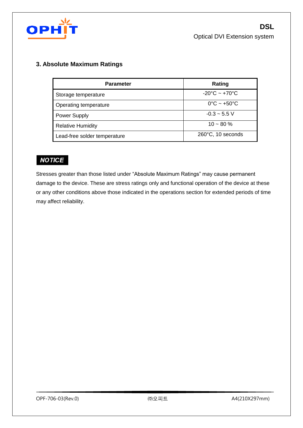

## **3. Absolute Maximum Ratings**

| <b>Parameter</b>             | Rating                            |
|------------------------------|-----------------------------------|
| Storage temperature          | $-20^{\circ}$ C ~ $+70^{\circ}$ C |
| Operating temperature        | $0^{\circ}$ C ~ +50 $^{\circ}$ C  |
| <b>Power Supply</b>          | $-0.3 - 5.5$ V                    |
| <b>Relative Humidity</b>     | $10 - 80 \%$                      |
| Lead-free solder temperature | 260°C, 10 seconds                 |

# **NOTICE**

Stresses greater than those listed under "Absolute Maximum Ratings" may cause permanent damage to the device. These are stress ratings only and functional operation of the device at these or any other conditions above those indicated in the operations section for extended periods of time may affect reliability.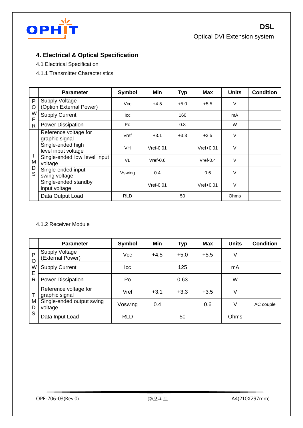

## **4. Electrical & Optical Specification**

- 4.1 Electrical Specification
- 4.1.1 Transmitter Characteristics

|         | <b>Parameter</b>                                 | Symbol     | <b>Min</b>  | Тур    | <b>Max</b>  | <b>Units</b> | <b>Condition</b> |
|---------|--------------------------------------------------|------------|-------------|--------|-------------|--------------|------------------|
| P<br>O  | <b>Supply Voltage</b><br>(Option External Power) | <b>Vcc</b> | $+4.5$      | $+5.0$ | $+5.5$      | $\vee$       |                  |
| W<br>E  | <b>Supply Current</b>                            | <b>Icc</b> |             | 160    |             | mA           |                  |
| R       | <b>Power Dissipation</b>                         | Po         |             | 0.8    |             | W            |                  |
| T<br>М  | Reference voltage for<br>graphic signal          | Vref       | $+3.1$      | $+3.3$ | $+3.5$      | $\vee$       |                  |
|         | Single-ended high<br>level input voltage         | VH         | $Vref-0.01$ |        | $Vref+0.01$ | V            |                  |
|         | Single-ended low level input<br>voltage          | VL         | $Vref-0.6$  |        | $Vref-0.4$  | V            |                  |
| D<br>S. | Single-ended input<br>swing voltage              | Vswing     | 0.4         |        | 0.6         | V            |                  |
|         | Single-ended standby<br>input voltage            |            | $Vref-0.01$ |        | $Vref+0.01$ | v            |                  |
|         | Data Output Load                                 | <b>RLD</b> |             | 50     |             | Ohms         |                  |

#### 4.1.2 Receiver Module

|                         | <b>Parameter</b>                          | Symbol     | Min    | <b>Typ</b> | <b>Max</b> | <b>Units</b> | <b>Condition</b> |
|-------------------------|-------------------------------------------|------------|--------|------------|------------|--------------|------------------|
| $\mathsf{P}$<br>$\circ$ | <b>Supply Voltage</b><br>(External Power) | Vcc        | $+4.5$ | $+5.0$     | $+5.5$     | V            |                  |
| W<br>E                  | <b>Supply Current</b>                     | lcc        |        | 125        |            | mA           |                  |
| R                       | <b>Power Dissipation</b>                  | Po         |        | 0.63       |            | W            |                  |
| $\top$                  | Reference voltage for<br>graphic signal   | Vref       | $+3.1$ | $+3.3$     | $+3.5$     | V            |                  |
| M<br>D                  | Single-ended output swing<br>voltage      | Voswing    | 0.4    |            | 0.6        | V            | AC couple        |
| S                       | Data Input Load                           | <b>RLD</b> |        | 50         |            | Ohms         |                  |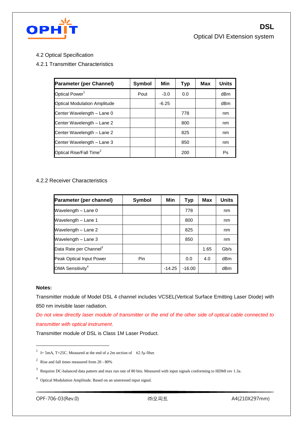

4.2 Optical Specification

#### 4.2.1 Transmitter Characteristics

| <b>Parameter (per Channel)</b>      | Symbol | Min     | <b>Typ</b> | Max | <b>Units</b> |
|-------------------------------------|--------|---------|------------|-----|--------------|
| Optical Power <sup>1</sup>          | Pout   | $-3.0$  | 0.0        |     | dBm          |
| <b>Optical Modulation Amplitude</b> |        | $-6.25$ |            |     | dBm          |
| Center Wavelength - Lane 0          |        |         | 778        |     | nm           |
| Center Wavelength - Lane 2          |        |         | 800        |     | nm           |
| Center Wavelength - Lane 2          |        |         | 825        |     | nm           |
| Center Wavelength - Lane 3          |        |         | 850        |     | nm           |
| Optical Rise/Fall Time <sup>2</sup> |        |         | 200        |     | Ps           |

#### 4.2.2 Receiver Characteristics

| Parameter (per channel)            | <b>Symbol</b> | Min      | <b>Typ</b> | Max  | <b>Units</b> |
|------------------------------------|---------------|----------|------------|------|--------------|
| Wavelength - Lane 0                |               |          | 778        |      | nm           |
| Wavelength - Lane 1                |               |          | 800        |      | nm           |
| Wavelength - Lane 2                |               |          | 825        |      | nm           |
| Wavelength - Lane 3                |               |          | 850        |      | nm           |
| Data Rate per Channel <sup>3</sup> |               |          |            | 1.65 | Gb/s         |
| Peak Optical Input Power           | Pin           |          | 0.0        | 4.0  | dBm          |
| OMA Sensitivity <sup>4</sup>       |               | $-14.25$ | $-16.00$   |      | dBm          |

#### **Notes:**

 $\overline{a}$ 

Transmitter module of Model DSL 4 channel includes VCSEL(Vertical Surface Emitting Laser Diode) with 850 nm invisible laser radiation.

*Do not view directly laser module of transmitter or the end of the other side of optical cable connected to transmitter with optical instrument*.

Transmitter module of DSL is Class 1M Laser Product.

<sup>&</sup>lt;sup>1</sup> I= 5mA, T=25C. Measured at the end of a 2m section of 62.5 $\mu$  fiber.

 $2\degree$  Rise and fall times measured from 20 - 80%

 $3$  Requires DC-balanced data pattern and max run rate of 80 bits. Measured with input signals conforming to HDMI rev 1.3a.

<sup>&</sup>lt;sup>4</sup> Optical Modulation Amplitude. Based on an unstressed input signal.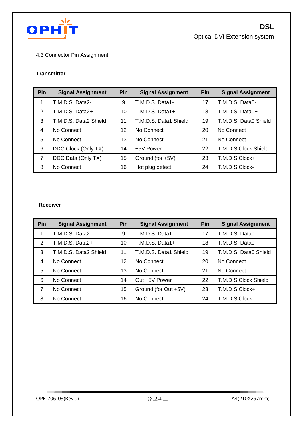

#### 4.3 Connector Pin Assignment

#### **Transmitter**

| Pin            | <b>Signal Assignment</b> | Pin | <b>Signal Assignment</b> | Pin | <b>Signal Assignment</b> |
|----------------|--------------------------|-----|--------------------------|-----|--------------------------|
|                | T.M.D.S. Data2-          | 9   | T.M.D.S. Data1-          | 17  | T.M.D.S. Data0-          |
| 2              | T.M.D.S. Data2+          | 10  | T.M.D.S. Data1+          | 18  | T.M.D.S. Data0+          |
| 3              | T.M.D.S. Data2 Shield    | 11  | T.M.D.S. Data1 Shield    | 19  | T.M.D.S. Data0 Shield    |
| 4              | No Connect               | 12  | No Connect               | 20  | No Connect               |
| 5              | No Connect               | 13  | No Connect               | 21  | No Connect               |
| 6              | DDC Clock (Only TX)      | 14  | +5V Power                | 22  | T.M.D.S Clock Shield     |
| $\overline{7}$ | DDC Data (Only TX)       | 15  | Ground (for +5V)         | 23  | T.M.D.S Clock+           |
| 8              | No Connect               | 16  | Hot plug detect          | 24  | T.M.D.S Clock-           |

#### **Receiver**

| Pin | <b>Signal Assignment</b> | Pin | <b>Signal Assignment</b> | Pin | <b>Signal Assignment</b> |
|-----|--------------------------|-----|--------------------------|-----|--------------------------|
| 1   | T.M.D.S. Data2-          | 9   | T.M.D.S. Data1-          | 17  | T.M.D.S. Data0-          |
| 2   | $T.M.D.S. Data2+$        | 10  | T.M.D.S. Data1+          | 18  | T.M.D.S. Data0+          |
| 3   | T.M.D.S. Data2 Shield    | 11  | T.M.D.S. Data1 Shield    | 19  | T.M.D.S. Data0 Shield    |
| 4   | No Connect               | 12  | No Connect               | 20  | No Connect               |
| 5   | No Connect               | 13  | No Connect               | 21  | No Connect               |
| 6   | No Connect               | 14  | Out +5V Power            | 22  | T.M.D.S Clock Shield     |
| 7   | No Connect               | 15  | Ground (for Out +5V)     | 23  | T.M.D.S Clock+           |
| 8   | No Connect               | 16  | No Connect               | 24  | T.M.D.S Clock-           |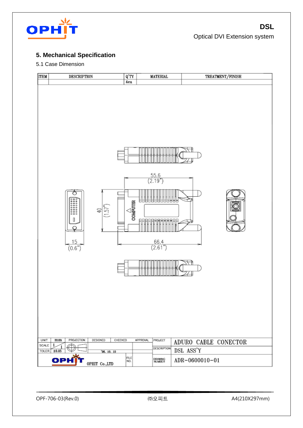

# **5. Mechanical Specification**

#### 5.1 Case Dimension

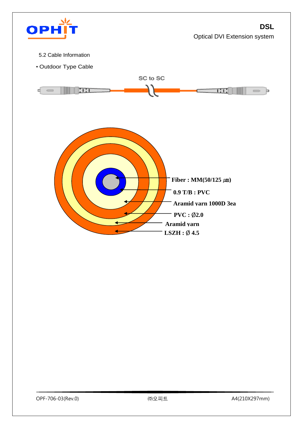

- 5.2 Cable Information
- Outdoor Type Cable